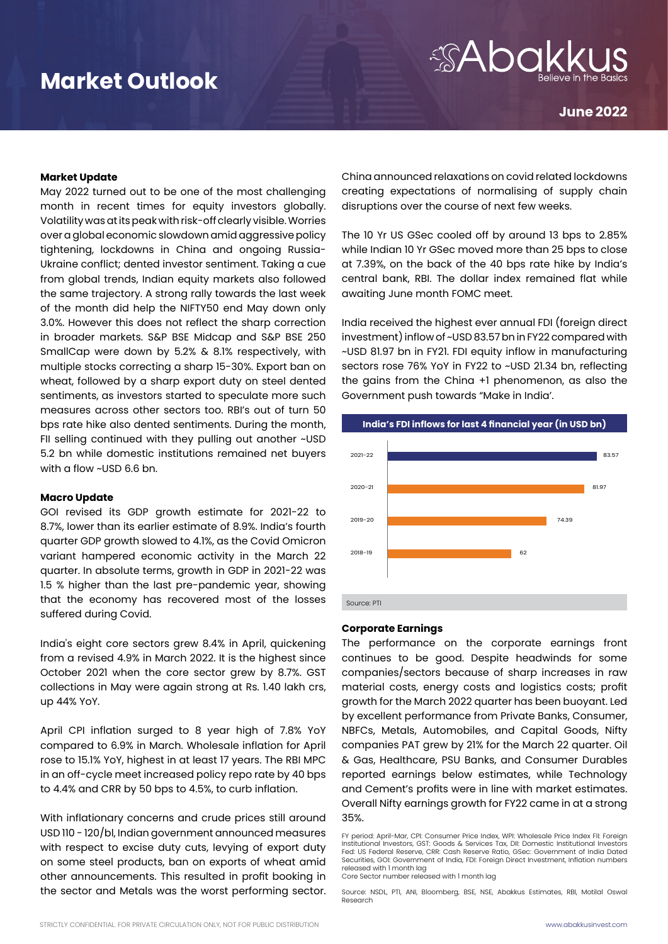## **Market Outlook**

# *SAbd*

**June 2022**

### **Market Update**

May 2022 turned out to be one of the most challenging month in recent times for equity investors globally. Volatility was at its peak with risk-off clearly visible. Worries over a global economic slowdown amid aggressive policy tightening, lockdowns in China and ongoing Russia-Ukraine conflict; dented investor sentiment. Taking a cue from global trends, Indian equity markets also followed the same trajectory. A strong rally towards the last week of the month did help the NIFTY50 end May down only 3.0%. However this does not reflect the sharp correction in broader markets. S&P BSE Midcap and S&P BSE 250 SmallCap were down by 5.2% & 8.1% respectively, with multiple stocks correcting a sharp 15-30%. Export ban on wheat, followed by a sharp export duty on steel dented sentiments, as investors started to speculate more such measures across other sectors too. RBI's out of turn 50 bps rate hike also dented sentiments. During the month, FII selling continued with they pulling out another ~USD 5.2 bn while domestic institutions remained net buyers with a flow ~USD 6.6 bn.

### **Macro Update**

GOI revised its GDP growth estimate for 2021-22 to 8.7%, lower than its earlier estimate of 8.9%. India's fourth quarter GDP growth slowed to 4.1%, as the Covid Omicron variant hampered economic activity in the March 22 quarter. In absolute terms, growth in GDP in 2021-22 was 1.5 % higher than the last pre-pandemic year, showing that the economy has recovered most of the losses suffered during Covid.

India's eight core sectors grew 8.4% in April, quickening from a revised 4.9% in March 2022. It is the highest since October 2021 when the core sector grew by 8.7%. GST collections in May were again strong at Rs. 1.40 lakh crs, up 44% YoY.

April CPI inflation surged to 8 year high of 7.8% YoY compared to 6.9% in March. Wholesale inflation for April rose to 15.1% YoY, highest in at least 17 years. The RBI MPC in an off-cycle meet increased policy repo rate by 40 bps to 4.4% and CRR by 50 bps to 4.5%, to curb inflation.

With inflationary concerns and crude prices still around USD 110 - 120/bl, Indian government announced measures with respect to excise duty cuts, levying of export duty on some steel products, ban on exports of wheat amid other announcements. This resulted in profit booking in the sector and Metals was the worst performing sector. China announced relaxations on covid related lockdowns creating expectations of normalising of supply chain disruptions over the course of next few weeks.

The 10 Yr US GSec cooled off by around 13 bps to 2.85% while Indian 10 Yr GSec moved more than 25 bps to close at 7.39%, on the back of the 40 bps rate hike by India's central bank, RBI. The dollar index remained flat while awaiting June month FOMC meet.

India received the highest ever annual FDI (foreign direct investment) inflow of ~USD 83.57 bn in FY22 compared with ~USD 81.97 bn in FY21. FDI equity inflow in manufacturing sectors rose 76% YoY in FY22 to ~USD 21.34 bn, reflecting the gains from the China +1 phenomenon, as also the Government push towards "Make in India'.



#### **Corporate Earnings**

The performance on the corporate earnings front continues to be good. Despite headwinds for some companies/sectors because of sharp increases in raw material costs, energy costs and logistics costs; profit growth for the March 2022 quarter has been buoyant. Led by excellent performance from Private Banks, Consumer, NBFCs, Metals, Automobiles, and Capital Goods, Nifty companies PAT grew by 21% for the March 22 quarter. Oil & Gas, Healthcare, PSU Banks, and Consumer Durables reported earnings below estimates, while Technology and Cement's profits were in line with market estimates. Overall Nifty earnings growth for FY22 came in at a strong 35%.

FY period: April-Mar, CPI: Consumer Price Index, WPI: Wholesale Price Index FII: Foreign Institutional Investors, GST: Goods & Services Tax, DII: Domestic Institutional Investors Fed: US Federal Reserve, CRR: Cash Reserve Ratio, GSec: Government of India Dated Securities, GOI: Government of India, FDI: Foreign Direct Investment, Inflation numbers released with 1 month lag Core Sector number released with 1 month lag

Source: NSDL, PTI, ANI, Bloomberg, BSE, NSE, Abakkus Estimates, RBI, Motilal Oswal Research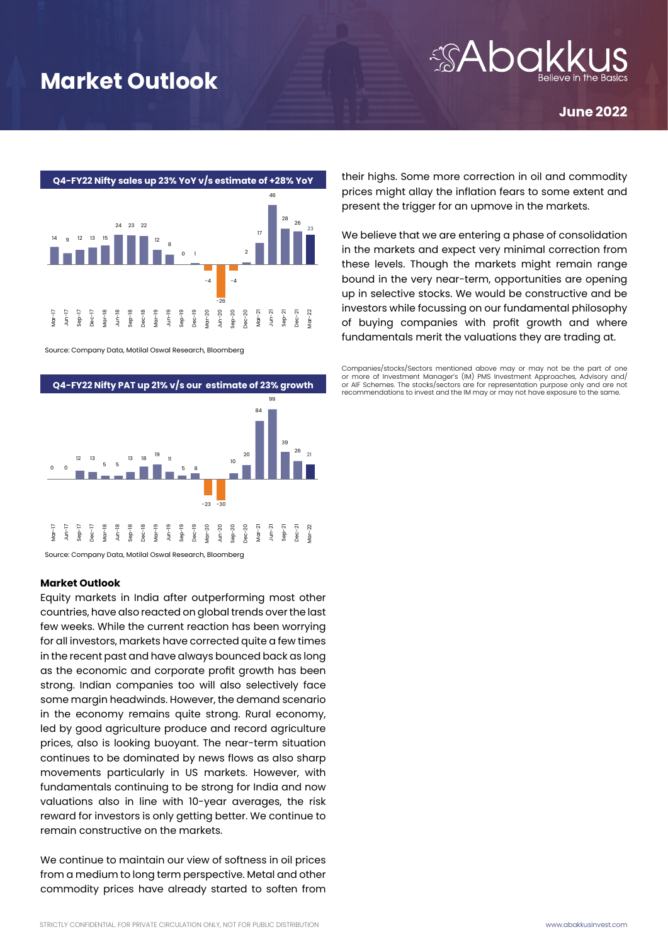## **Market Outlook**

### **June 2022**



Source: Company Data, Motilal Oswal Research, Bloomberg



Source: Company Data, Motilal Oswal Research, Bloomberg

### **Market Outlook**

Equity markets in India after outperforming most other countries, have also reacted on global trends over the last few weeks. While the current reaction has been worrying for all investors, markets have corrected quite a few times in the recent past and have always bounced back as long as the economic and corporate profit growth has been strong. Indian companies too will also selectively face some margin headwinds. However, the demand scenario in the economy remains quite strong. Rural economy, led by good agriculture produce and record agriculture prices, also is looking buoyant. The near-term situation continues to be dominated by news flows as also sharp movements particularly in US markets. However, with fundamentals continuing to be strong for India and now valuations also in line with 10-year averages, the risk reward for investors is only getting better. We continue to remain constructive on the markets.

We continue to maintain our view of softness in oil prices from a medium to long term perspective. Metal and other commodity prices have already started to soften from their highs. Some more correction in oil and commodity prices might allay the inflation fears to some extent and present the trigger for an upmove in the markets.

We believe that we are entering a phase of consolidation in the markets and expect very minimal correction from these levels. Though the markets might remain range bound in the very near-term, opportunities are opening up in selective stocks. We would be constructive and be investors while focussing on our fundamental philosophy of buying companies with profit growth and where fundamentals merit the valuations they are trading at.

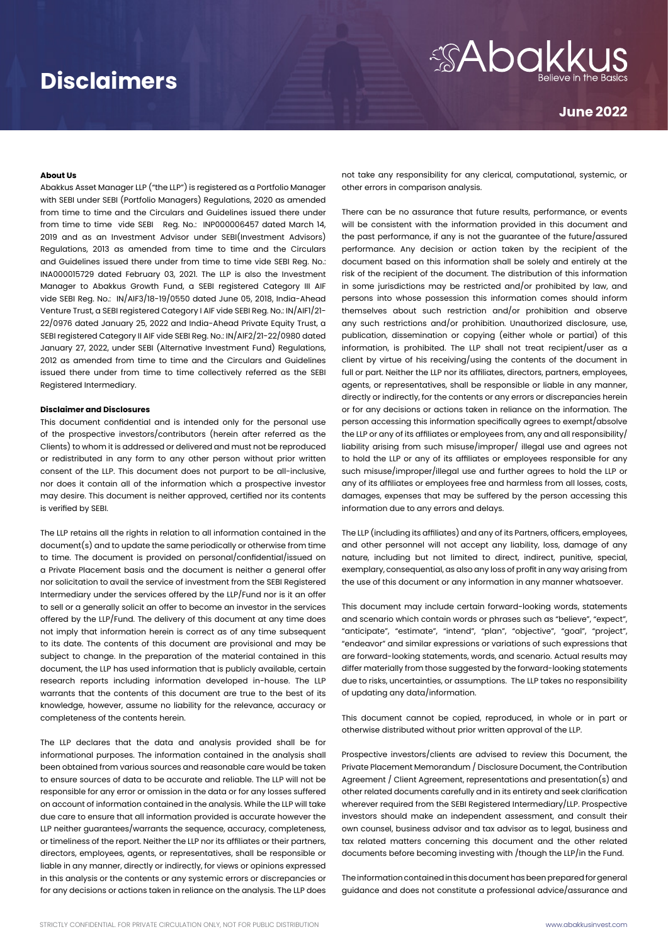## **Disclaimers**

# *SAbakki*

**June 2022**

### **About Us**

Abakkus Asset Manager LLP ("the LLP") is registered as a Portfolio Manager with SEBI under SEBI (Portfolio Managers) Regulations, 2020 as amended from time to time and the Circulars and Guidelines issued there under from time to time vide SEBI Reg. No.: INP000006457 dated March 14, 2019 and as an Investment Advisor under SEBI(Investment Advisors) Regulations, 2013 as amended from time to time and the Circulars and Guidelines issued there under from time to time vide SEBI Reg. No.: INA000015729 dated February 03, 2021. The LLP is also the Investment Manager to Abakkus Growth Fund, a SEBI registered Category III AIF vide SEBI Reg. No.: IN/AIF3/18-19/0550 dated June 05, 2018, India-Ahead Venture Trust, a SEBI registered Category I AIF vide SEBI Reg. No.: IN/AIF1/21- 22/0976 dated January 25, 2022 and India-Ahead Private Equity Trust, a SEBI registered Category II AIF vide SEBI Reg. No.: IN/AIF2/21-22/0980 dated January 27, 2022, under SEBI (Alternative Investment Fund) Regulations, 2012 as amended from time to time and the Circulars and Guidelines issued there under from time to time collectively referred as the SEBI Registered Intermediary.

### **Disclaimer and Disclosures**

This document confidential and is intended only for the personal use of the prospective investors/contributors (herein after referred as the Clients) to whom it is addressed or delivered and must not be reproduced or redistributed in any form to any other person without prior written consent of the LLP. This document does not purport to be all-inclusive, nor does it contain all of the information which a prospective investor may desire. This document is neither approved, certified nor its contents is verified by SEBI.

The LLP retains all the rights in relation to all information contained in the document(s) and to update the same periodically or otherwise from time to time. The document is provided on personal/confidential/issued on a Private Placement basis and the document is neither a general offer nor solicitation to avail the service of investment from the SEBI Registered Intermediary under the services offered by the LLP/Fund nor is it an offer to sell or a generally solicit an offer to become an investor in the services offered by the LLP/Fund. The delivery of this document at any time does not imply that information herein is correct as of any time subsequent to its date. The contents of this document are provisional and may be subject to change. In the preparation of the material contained in this document, the LLP has used information that is publicly available, certain research reports including information developed in-house. The LLP warrants that the contents of this document are true to the best of its knowledge, however, assume no liability for the relevance, accuracy or completeness of the contents herein.

The LLP declares that the data and analysis provided shall be for informational purposes. The information contained in the analysis shall been obtained from various sources and reasonable care would be taken to ensure sources of data to be accurate and reliable. The LLP will not be responsible for any error or omission in the data or for any losses suffered on account of information contained in the analysis. While the LLP will take due care to ensure that all information provided is accurate however the LLP neither guarantees/warrants the sequence, accuracy, completeness, or timeliness of the report. Neither the LLP nor its affiliates or their partners, directors, employees, agents, or representatives, shall be responsible or liable in any manner, directly or indirectly, for views or opinions expressed in this analysis or the contents or any systemic errors or discrepancies or for any decisions or actions taken in reliance on the analysis. The LLP does not take any responsibility for any clerical, computational, systemic, or other errors in comparison analysis.

There can be no assurance that future results, performance, or events will be consistent with the information provided in this document and the past performance, if any is not the guarantee of the future/assured performance. Any decision or action taken by the recipient of the document based on this information shall be solely and entirely at the risk of the recipient of the document. The distribution of this information in some jurisdictions may be restricted and/or prohibited by law, and persons into whose possession this information comes should inform themselves about such restriction and/or prohibition and observe any such restrictions and/or prohibition. Unauthorized disclosure, use, publication, dissemination or copying (either whole or partial) of this information, is prohibited. The LLP shall not treat recipient/user as a client by virtue of his receiving/using the contents of the document in full or part. Neither the LLP nor its affiliates, directors, partners, employees, agents, or representatives, shall be responsible or liable in any manner, directly or indirectly, for the contents or any errors or discrepancies herein or for any decisions or actions taken in reliance on the information. The person accessing this information specifically agrees to exempt/absolve the LLP or any of its affiliates or employees from, any and all responsibility/ liability arising from such misuse/improper/ illegal use and agrees not to hold the LLP or any of its affiliates or employees responsible for any such misuse/improper/illegal use and further agrees to hold the LLP or any of its affiliates or employees free and harmless from all losses, costs, damages, expenses that may be suffered by the person accessing this information due to any errors and delays.

The LLP (including its affiliates) and any of its Partners, officers, employees, and other personnel will not accept any liability, loss, damage of any nature, including but not limited to direct, indirect, punitive, special, exemplary, consequential, as also any loss of profit in any way arising from the use of this document or any information in any manner whatsoever.

This document may include certain forward-looking words, statements and scenario which contain words or phrases such as "believe", "expect", "anticipate", "estimate", "intend", "plan", "objective", "goal", "project", "endeavor" and similar expressions or variations of such expressions that are forward-looking statements, words, and scenario. Actual results may differ materially from those suggested by the forward-looking statements due to risks, uncertainties, or assumptions. The LLP takes no responsibility of updating any data/information.

This document cannot be copied, reproduced, in whole or in part or otherwise distributed without prior written approval of the LLP.

Prospective investors/clients are advised to review this Document, the Private Placement Memorandum / Disclosure Document, the Contribution Agreement / Client Agreement, representations and presentation(s) and other related documents carefully and in its entirety and seek clarification wherever required from the SEBI Registered Intermediary/LLP. Prospective investors should make an independent assessment, and consult their own counsel, business advisor and tax advisor as to legal, business and tax related matters concerning this document and the other related documents before becoming investing with /though the LLP/in the Fund.

The information contained in this document has been prepared for general guidance and does not constitute a professional advice/assurance and